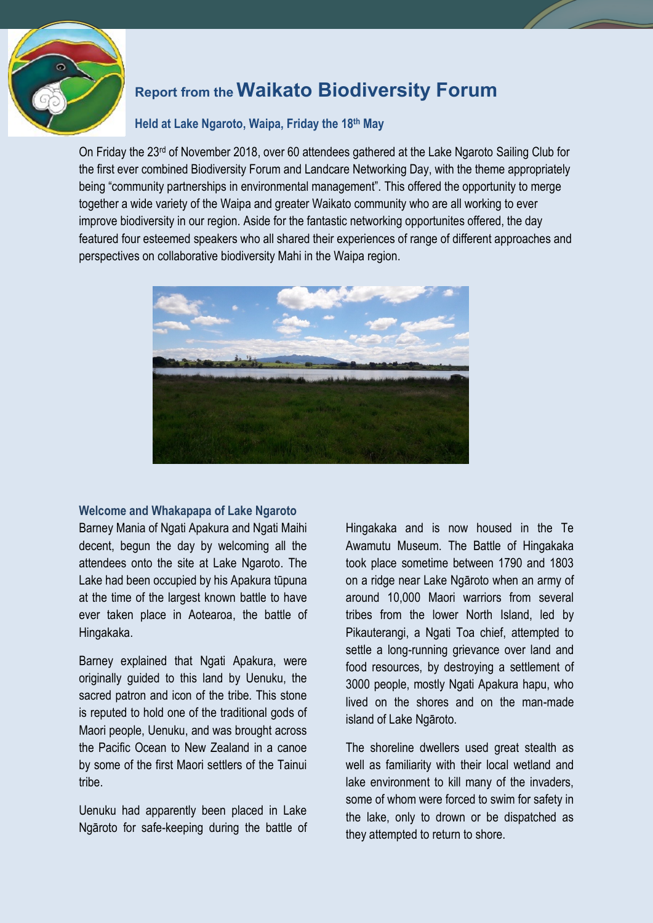

## **Report from the Waikato Biodiversity Forum**

## **Held at Lake Ngaroto, Waipa, Friday the 18th May**

On Friday the 23<sup>rd</sup> of November 2018, over 60 attendees gathered at the Lake Ngaroto Sailing Club for the first ever combined Biodiversity Forum and Landcare Networking Day, with the theme appropriately being "community partnerships in environmental management". This offered the opportunity to merge together a wide variety of the Waipa and greater Waikato community who are all working to ever improve biodiversity in our region. Aside for the fantastic networking opportunites offered, the day featured four esteemed speakers who all shared their experiences of range of different approaches and perspectives on collaborative biodiversity Mahi in the Waipa region.



## **Welcome and Whakapapa of Lake Ngaroto**

Barney Mania of Ngati Apakura and Ngati Maihi decent, begun the day by welcoming all the attendees onto the site at Lake Ngaroto. The Lake had been occupied by his Apakura tūpuna at the time of the largest known battle to have ever taken place in Aotearoa, the battle of Hingakaka.

Barney explained that Ngati Apakura, were originally guided to this land by Uenuku, the sacred patron and icon of the tribe. This stone is reputed to hold one of the traditional gods of Maori people, Uenuku, and was brought across the Pacific Ocean to New Zealand in a canoe by some of the first Maori settlers of the Tainui tribe.

Uenuku had apparently been placed in Lake Ngāroto for safe-keeping during the battle of Hingakaka and is now housed in the Te Awamutu Museum. The Battle of Hingakaka took place sometime between 1790 and 1803 on a ridge near Lake Ngāroto when an army of around 10,000 Maori warriors from several tribes from the lower North Island, led by Pikauterangi, a Ngati Toa chief, attempted to settle a long-running grievance over land and food resources, by destroying a settlement of 3000 people, mostly Ngati Apakura hapu, who lived on the shores and on the man-made island of Lake Ngāroto.

The shoreline dwellers used great stealth as well as familiarity with their local wetland and lake environment to kill many of the invaders, some of whom were forced to swim for safety in the lake, only to drown or be dispatched as they attempted to return to shore.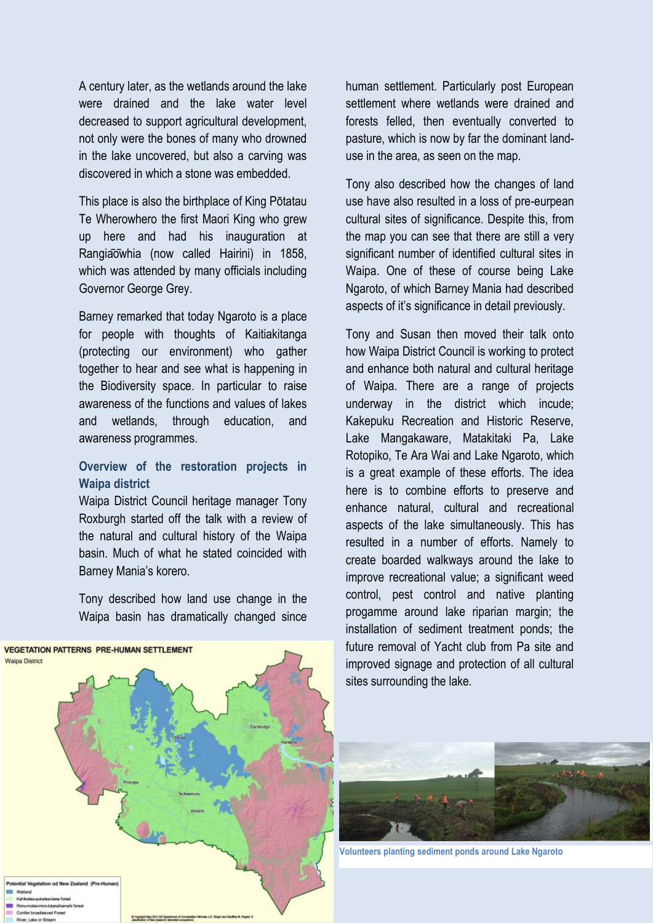A century later, as the wetlands around the lake were drained and the lake water level decreased to support agricultural development, not only were the bones of many who drowned in the lake uncovered, but also a carving was discovered in which a stone was embedded.

This place is also the birthplace of King Pōtatau Te Wherowhero the first Maori King who grew up here and had his inauguration at Rangia o whia (now called Hairini) in 1858, which was attended by many officials including Governor George Grey.

Barney remarked that today Ngaroto is a place for people with thoughts of Kaitiakitanga (protecting our environment) who gather together to hear and see what is happening in the Biodiversity space. In particular to raise awareness of the functions and values of lakes and wetlands, through education, and awareness programmes.

## **Overview of the restoration projects in Waipa district**

Waipa District Council heritage manager Tony Roxburgh started off the talk with a review of the natural and cultural history of the Waipa basin. Much of what he stated coincided with Barney Mania's korero.

Tony described how land use change in the Waipa basin has dramatically changed since

human settlement. Particularly post European settlement where wetlands were drained and forests felled, then eventually converted to pasture, which is now by far the dominant landuse in the area, as seen on the map.

Tony also described how the changes of land use have also resulted in a loss of pre-eurpean cultural sites of significance. Despite this, from the map you can see that there are still a very significant number of identified cultural sites in Waipa. One of these of course being Lake Ngaroto, of which Barney Mania had described aspects of it's significance in detail previously.

Tony and Susan then moved their talk onto how Waipa District Council is working to protect and enhance both natural and cultural heritage of Waipa. There are a range of projects underway in the district which incude; Kakepuku Recreation and Historic Reserve, Lake Mangakaware, Matakitaki Pa, Lake Rotopiko, Te Ara Wai and Lake Ngaroto, which is a great example of these efforts. The idea here is to combine efforts to preserve and enhance natural, cultural and recreational aspects of the lake simultaneously. This has resulted in a number of efforts. Namely to create boarded walkways around the lake to improve recreational value; a significant weed control, pest control and native planting progamme around lake riparian margin; the installation of sediment treatment ponds; the future removal of Yacht club from Pa site and improved signage and protection of all cultural sites surrounding the lake.



**VEGETATION PATTERNS PRE-HUMAN SETTLEMENT** 

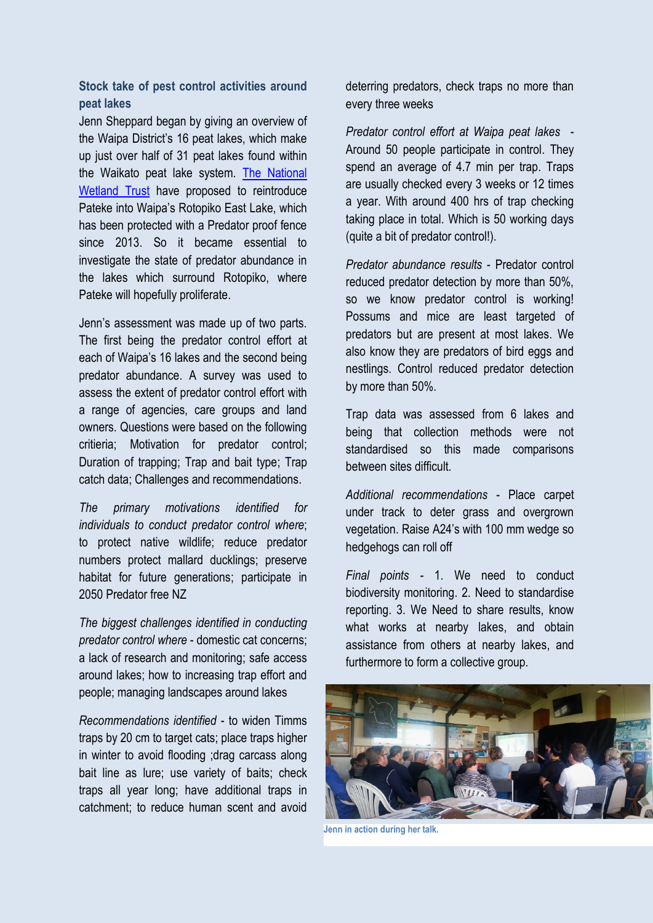**Stock take of pest control activities around peat lakes**

Jenn Sheppard began by giving an overview of the Waipa District's 16 peat lakes, which make up just over half of 31 peat lakes found within the Waikato peat lake system. [The National](https://www.wetlandtrust.org.nz/)  [Wetland Trust](https://www.wetlandtrust.org.nz/) have proposed to reintroduce Pateke into Waipa's Rotopiko East Lake, which has been protected with a Predator proof fence since 2013. So it became essential to investigate the state of predator abundance in the lakes which surround Rotopiko, where Pateke will hopefully proliferate.

Jenn's assessment was made up of two parts. The first being the predator control effort at each of Waipa's 16 lakes and the second being predator abundance. A survey was used to assess the extent of predator control effort with a range of agencies, care groups and land owners. Questions were based on the following critieria; Motivation for predator control; Duration of trapping; Trap and bait type; Trap catch data; Challenges and recommendations.

*The primary motivations identified for individuals to conduct predator control where*; to protect native wildlife; reduce predator numbers protect mallard ducklings; preserve habitat for future generations; participate in 2050 Predator free NZ

*The biggest challenges identified in conducting predator control where* - domestic cat concerns; a lack of research and monitoring; safe access around lakes; how to increasing trap effort and people; managing landscapes around lakes

*Recommendations identified* - to widen Timms traps by 20 cm to target cats; place traps higher in winter to avoid flooding ;drag carcass along bait line as lure; use variety of baits; check traps all year long; have additional traps in catchment; to reduce human scent and avoid

deterring predators, check traps no more than every three weeks

*Predator control effort at Waipa peat lakes* - Around 50 people participate in control. They spend an average of 4.7 min per trap. Traps are usually checked every 3 weeks or 12 times a year. With around 400 hrs of trap checking taking place in total. Which is 50 working days (quite a bit of predator control!).

*Predator abundance results* - Predator control reduced predator detection by more than 50%, so we know predator control is working! Possums and mice are least targeted of predators but are present at most lakes. We also know they are predators of bird eggs and nestlings. Control reduced predator detection by more than 50%.

Trap data was assessed from 6 lakes and being that collection methods were not standardised so this made comparisons between sites difficult.

*Additional recommendations* - Place carpet under track to deter grass and overgrown vegetation. Raise A24's with 100 mm wedge so hedgehogs can roll off

*Final points -* 1. We need to conduct biodiversity monitoring. 2. Need to standardise reporting. 3. We Need to share results, know what works at nearby lakes, and obtain assistance from others at nearby lakes, and furthermore to form a collective group.



**Jenn in action during her talk.**